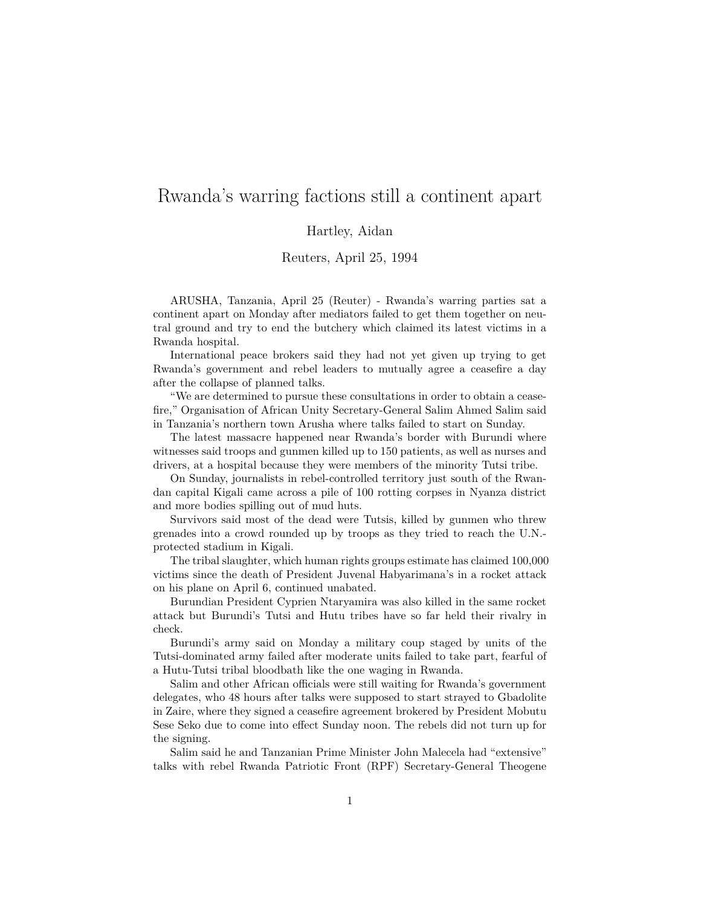## Rwanda's warring factions still a continent apart

## Hartley, Aidan

## Reuters, April 25, 1994

ARUSHA, Tanzania, April 25 (Reuter) - Rwanda's warring parties sat a continent apart on Monday after mediators failed to get them together on neutral ground and try to end the butchery which claimed its latest victims in a Rwanda hospital.

International peace brokers said they had not yet given up trying to get Rwanda's government and rebel leaders to mutually agree a ceasefire a day after the collapse of planned talks.

"We are determined to pursue these consultations in order to obtain a ceasefire," Organisation of African Unity Secretary-General Salim Ahmed Salim said in Tanzania's northern town Arusha where talks failed to start on Sunday.

The latest massacre happened near Rwanda's border with Burundi where witnesses said troops and gunmen killed up to 150 patients, as well as nurses and drivers, at a hospital because they were members of the minority Tutsi tribe.

On Sunday, journalists in rebel-controlled territory just south of the Rwandan capital Kigali came across a pile of 100 rotting corpses in Nyanza district and more bodies spilling out of mud huts.

Survivors said most of the dead were Tutsis, killed by gunmen who threw grenades into a crowd rounded up by troops as they tried to reach the U.N. protected stadium in Kigali.

The tribal slaughter, which human rights groups estimate has claimed 100,000 victims since the death of President Juvenal Habyarimana's in a rocket attack on his plane on April 6, continued unabated.

Burundian President Cyprien Ntaryamira was also killed in the same rocket attack but Burundi's Tutsi and Hutu tribes have so far held their rivalry in check.

Burundi's army said on Monday a military coup staged by units of the Tutsi-dominated army failed after moderate units failed to take part, fearful of a Hutu-Tutsi tribal bloodbath like the one waging in Rwanda.

Salim and other African officials were still waiting for Rwanda's government delegates, who 48 hours after talks were supposed to start strayed to Gbadolite in Zaire, where they signed a ceasefire agreement brokered by President Mobutu Sese Seko due to come into effect Sunday noon. The rebels did not turn up for the signing.

Salim said he and Tanzanian Prime Minister John Malecela had "extensive" talks with rebel Rwanda Patriotic Front (RPF) Secretary-General Theogene